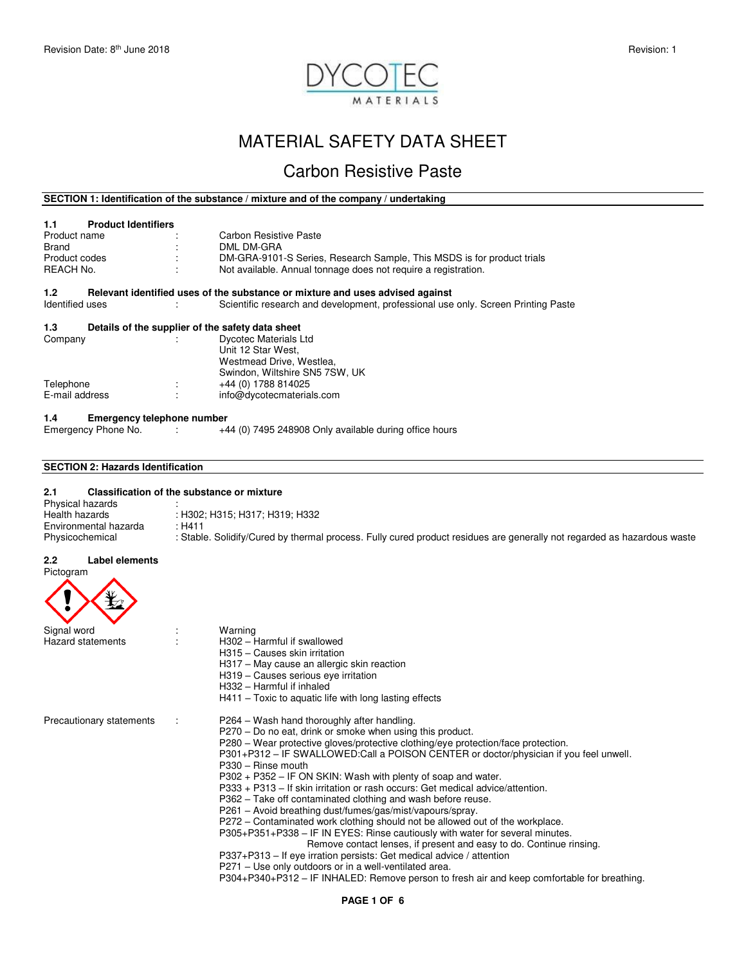

# MATERIAL SAFETY DATA SHEET

# Carbon Resistive Paste

# **SECTION 1: Identification of the substance / mixture and of the company / undertaking**

| <b>Product Identifiers</b><br>1.1<br>Product name<br>Brand<br>Product codes<br>REACH No. |   | Carbon Resistive Paste<br>DML DM-GRA<br>DM-GRA-9101-S Series, Research Sample, This MSDS is for product trials<br>Not available. Annual tonnage does not require a registration. |
|------------------------------------------------------------------------------------------|---|----------------------------------------------------------------------------------------------------------------------------------------------------------------------------------|
| 1.2 <sub>1</sub>                                                                         |   | Relevant identified uses of the substance or mixture and uses advised against                                                                                                    |
| Identified uses                                                                          |   | Scientific research and development, professional use only. Screen Printing Paste                                                                                                |
| 1.3                                                                                      |   | Details of the supplier of the safety data sheet                                                                                                                                 |
| Company                                                                                  |   | <b>Dycotec Materials Ltd</b><br>Unit 12 Star West.<br>Westmead Drive, Westlea,<br>Swindon, Wiltshire SN5 7SW, UK                                                                 |
| Telephone                                                                                | ÷ | +44 (0) 1788 814025                                                                                                                                                              |
| E-mail address                                                                           |   | info@dycotecmaterials.com                                                                                                                                                        |
| <b>Emergency telephone number</b><br>1.4                                                 |   |                                                                                                                                                                                  |
| Emergency Phone No. :                                                                    |   | +44 (0) 7495 248908 Only available during office hours                                                                                                                           |

# **SECTION 2: Hazards Identification**

# **2.1 Classification of the substance or mixture**  Physical hazards<br>Health hazards : H302; H315; H317; H319; H332<br>: H411 Environmental hazarda<br>Physicochemical : Stable. Solidify/Cured by thermal process. Fully cured product residues are generally not regarded as hazardous waste

#### **2.2 Label elements**  Pictogram

| <b>TIGLOGIAII</b>        |                                                                                                                                                      |
|--------------------------|------------------------------------------------------------------------------------------------------------------------------------------------------|
| Signal word              | Warning                                                                                                                                              |
| <b>Hazard statements</b> | H302 - Harmful if swallowed                                                                                                                          |
|                          | H315 - Causes skin irritation                                                                                                                        |
|                          | H317 - May cause an allergic skin reaction                                                                                                           |
|                          | H319 - Causes serious eve irritation<br>H332 - Harmful if inhaled                                                                                    |
|                          | $H411$ – Toxic to aquatic life with long lasting effects                                                                                             |
| Precautionary statements | P264 – Wash hand thoroughly after handling.                                                                                                          |
|                          | P270 – Do no eat, drink or smoke when using this product.                                                                                            |
|                          | P280 – Wear protective gloves/protective clothing/eye protection/face protection.                                                                    |
|                          | P301+P312 – IF SWALLOWED:Call a POISON CENTER or doctor/physician if you feel unwell.<br>$P330 - Rinse$ mouth                                        |
|                          | P302 + P352 – IF ON SKIN: Wash with plenty of soap and water.                                                                                        |
|                          | P333 + P313 - If skin irritation or rash occurs: Get medical advice/attention.                                                                       |
|                          | P362 - Take off contaminated clothing and wash before reuse.                                                                                         |
|                          | P261 – Avoid breathing dust/fumes/gas/mist/vapours/spray.                                                                                            |
|                          | P272 – Contaminated work clothing should not be allowed out of the workplace.                                                                        |
|                          | P305+P351+P338 - IF IN EYES: Rinse cautiously with water for several minutes.<br>Remove contact lenses, if present and easy to do. Continue rinsing. |
|                          | P337+P313 – If eye irration persists: Get medical advice / attention                                                                                 |
|                          | P271 – Use only outdoors or in a well-ventilated area.                                                                                               |
|                          | P304+P340+P312 – IF INHALED: Remove person to fresh air and keep comfortable for breathing.                                                          |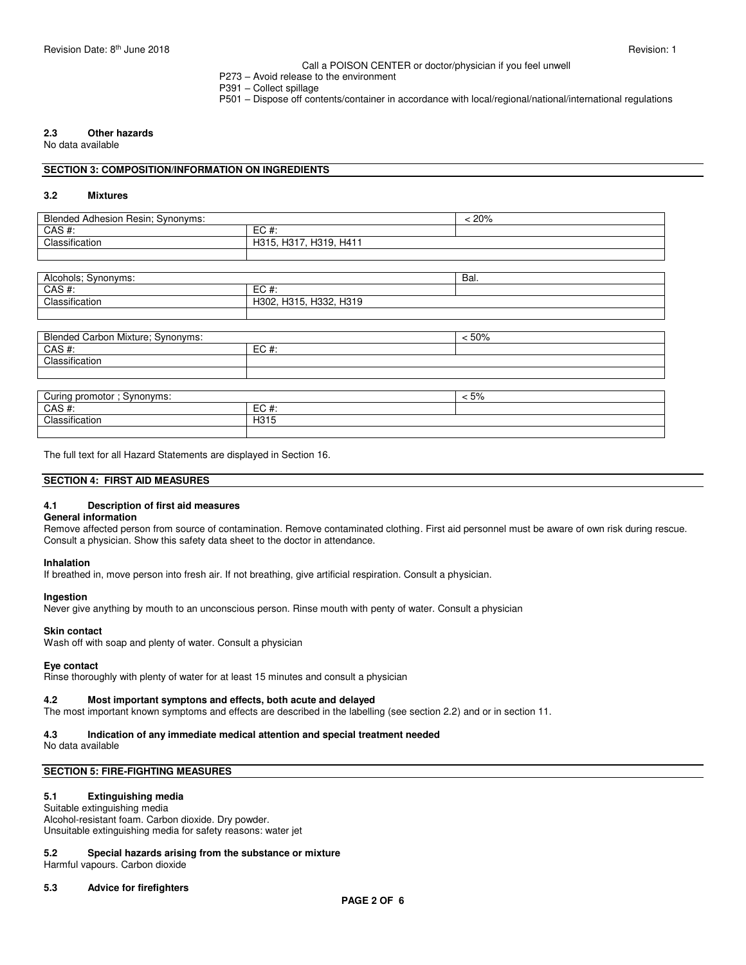#### Call a POISON CENTER or doctor/physician if you feel unwell

- P273 Avoid release to the environment
- P391 Collect spillage
- P501 Dispose off contents/container in accordance with local/regional/national/international regulations

# **2.3 Other hazards**

No data available

#### **SECTION 3: COMPOSITION/INFORMATION ON INGREDIENTS**

#### **3.2 Mixtures**

| Blended Adhesion Resin; Synonyms: | 20%                          |  |
|-----------------------------------|------------------------------|--|
| CAS#:                             | $EC#$ :                      |  |
| Classification                    | H317,<br>H319, H411<br>H315. |  |
|                                   |                              |  |

| Alcohols; Synonyms:               |                        | Bal.    |  |
|-----------------------------------|------------------------|---------|--|
| $CAS$ #:                          | $EC#$ :                |         |  |
| Classification                    | H302, H315, H332, H319 |         |  |
|                                   |                        |         |  |
|                                   |                        |         |  |
| Blended Carbon Mixture; Synonyms: |                        | < 50%   |  |
| $CAS$ #:                          | $EC#$ :                |         |  |
| Classification                    |                        |         |  |
|                                   |                        |         |  |
|                                   |                        |         |  |
| Curing promotor; Synonyms:        |                        | $< 5\%$ |  |
| $CAS$ #:                          | $EC#$ :                |         |  |
| Classification                    | H315                   |         |  |

The full text for all Hazard Statements are displayed in Section 16.

#### **SECTION 4: FIRST AID MEASURES**

#### **4.1 Description of first aid measures**

#### **General information**

Remove affected person from source of contamination. Remove contaminated clothing. First aid personnel must be aware of own risk during rescue. Consult a physician. Show this safety data sheet to the doctor in attendance.

# **Inhalation**

If breathed in, move person into fresh air. If not breathing, give artificial respiration. Consult a physician.

#### **Ingestion**

Never give anything by mouth to an unconscious person. Rinse mouth with penty of water. Consult a physician

#### **Skin contact**

Wash off with soap and plenty of water. Consult a physician

#### **Eye contact**

Rinse thoroughly with plenty of water for at least 15 minutes and consult a physician

#### **4.2 Most important symptons and effects, both acute and delayed**

The most important known symptoms and effects are described in the labelling (see section 2.2) and or in section 11.

# **4.3 Indication of any immediate medical attention and special treatment needed**

No data available

### **SECTION 5: FIRE-FIGHTING MEASURES**

#### **5.1 Extinguishing media**

Suitable extinguishing media Alcohol-resistant foam. Carbon dioxide. Dry powder. Unsuitable extinguishing media for safety reasons: water jet

#### **5.2 Special hazards arising from the substance or mixture**

Harmful vapours. Carbon dioxide

#### **5.3 Advice for firefighters**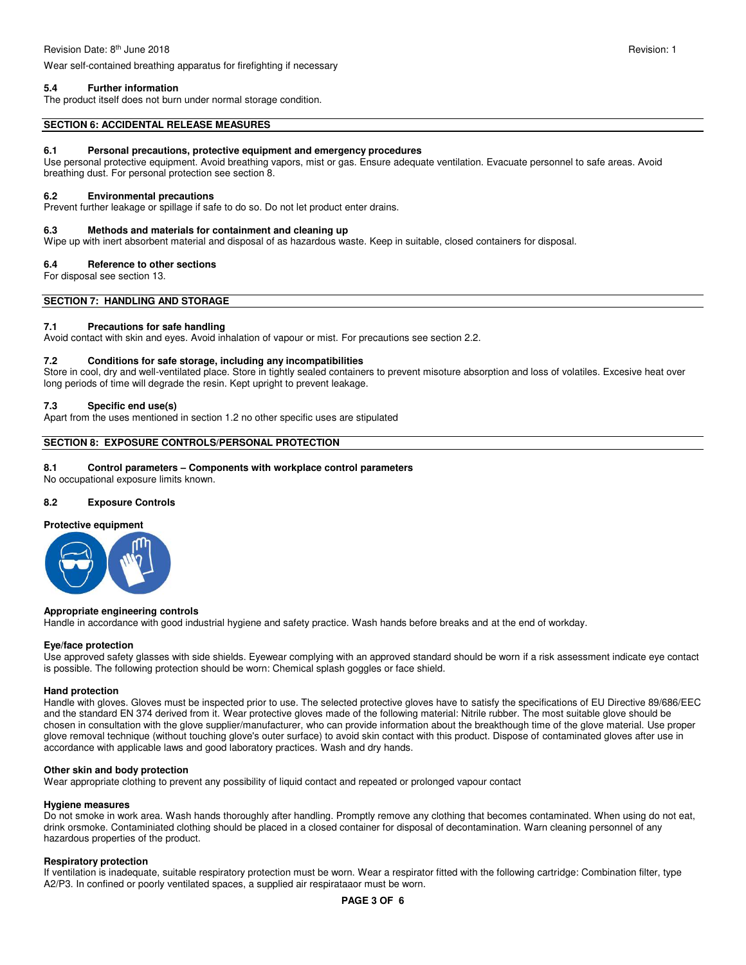Wear self-contained breathing apparatus for firefighting if necessary

# **5.4 Further information**

The product itself does not burn under normal storage condition.

#### **SECTION 6: ACCIDENTAL RELEASE MEASURES**

#### **6.1 Personal precautions, protective equipment and emergency procedures**

Use personal protective equipment. Avoid breathing vapors, mist or gas. Ensure adequate ventilation. Evacuate personnel to safe areas. Avoid breathing dust. For personal protection see section 8.

#### **6.2 Environmental precautions**

Prevent further leakage or spillage if safe to do so. Do not let product enter drains.

#### **6.3 Methods and materials for containment and cleaning up**

Wipe up with inert absorbent material and disposal of as hazardous waste. Keep in suitable, closed containers for disposal.

#### **6.4 Reference to other sections**

For disposal see section 13.

**SECTION 7: HANDLING AND STORAGE** 

#### **7.1 Precautions for safe handling**

Avoid contact with skin and eyes. Avoid inhalation of vapour or mist. For precautions see section 2.2.

# **7.2 Conditions for safe storage, including any incompatibilities**

Store in cool, dry and well-ventilated place. Store in tightly sealed containers to prevent misoture absorption and loss of volatiles. Excesive heat over long periods of time will degrade the resin. Kept upright to prevent leakage.

#### **7.3 Specific end use(s)**

Apart from the uses mentioned in section 1.2 no other specific uses are stipulated

# **SECTION 8: EXPOSURE CONTROLS/PERSONAL PROTECTION**

#### **8.1 Control parameters – Components with workplace control parameters**

No occupational exposure limits known.

#### **8.2 Exposure Controls**

#### **Protective equipment**



#### **Appropriate engineering controls**

Handle in accordance with good industrial hygiene and safety practice. Wash hands before breaks and at the end of workday.

#### **Eye/face protection**

Use approved safety glasses with side shields. Eyewear complying with an approved standard should be worn if a risk assessment indicate eye contact is possible. The following protection should be worn: Chemical splash goggles or face shield.

#### **Hand protection**

Handle with gloves. Gloves must be inspected prior to use. The selected protective gloves have to satisfy the specifications of EU Directive 89/686/EEC and the standard EN 374 derived from it. Wear protective gloves made of the following material: Nitrile rubber. The most suitable glove should be chosen in consultation with the glove supplier/manufacturer, who can provide information about the breakthough time of the glove material. Use proper glove removal technique (without touching glove's outer surface) to avoid skin contact with this product. Dispose of contaminated gloves after use in accordance with applicable laws and good laboratory practices. Wash and dry hands.

#### **Other skin and body protection**

Wear appropriate clothing to prevent any possibility of liquid contact and repeated or prolonged vapour contact

#### **Hygiene measures**

Do not smoke in work area. Wash hands thoroughly after handling. Promptly remove any clothing that becomes contaminated. When using do not eat, drink orsmoke. Contaminiated clothing should be placed in a closed container for disposal of decontamination. Warn cleaning personnel of any hazardous properties of the product.

#### **Respiratory protection**

If ventilation is inadequate, suitable respiratory protection must be worn. Wear a respirator fitted with the following cartridge: Combination filter, type A2/P3. In confined or poorly ventilated spaces, a supplied air respirataaor must be worn.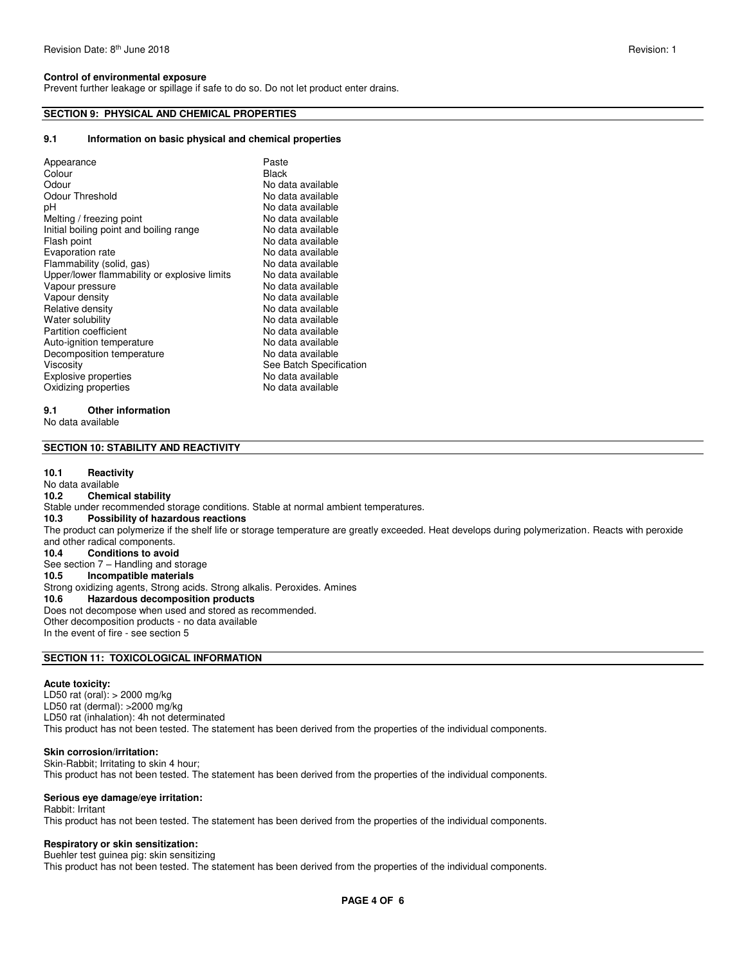#### **Control of environmental exposure**

Prevent further leakage or spillage if safe to do so. Do not let product enter drains.

# **SECTION 9: PHYSICAL AND CHEMICAL PROPERTIES**

### **9.1 Information on basic physical and chemical properties**

| Appearance                                   | Paste                   |
|----------------------------------------------|-------------------------|
| Colour                                       | <b>Black</b>            |
| Odour                                        | No data available       |
| Odour Threshold                              | No data available       |
| рH                                           | No data available       |
| Melting / freezing point                     | No data available       |
| Initial boiling point and boiling range      | No data available       |
| Flash point                                  | No data available       |
| Evaporation rate                             | No data available       |
| Flammability (solid, gas)                    | No data available       |
| Upper/lower flammability or explosive limits | No data available       |
| Vapour pressure                              | No data available       |
| Vapour density                               | No data available       |
| Relative density                             | No data available       |
| Water solubility                             | No data available       |
| Partition coefficient                        | No data available       |
| Auto-ignition temperature                    | No data available       |
| Decomposition temperature                    | No data available       |
| Viscosity                                    | See Batch Specification |
|                                              |                         |
| <b>Explosive properties</b>                  | No data available       |
| Oxidizing properties                         | No data available       |
|                                              |                         |

### **9.1 Other information**

No data available

#### **SECTION 10: STABILITY AND REACTIVITY**

#### **10.1 Reactivity**

No data available<br>10.2 Chemic **10.2 Chemical stability**  Stable under recommended storage conditions. Stable at normal ambient temperatures.<br>10.3 Possibility of hazardous reactions **10.3 Possibility of hazardous reactions**  The product can polymerize if the shelf life or storage temperature are greatly exceeded. Heat develops during polymerization. Reacts with peroxide and other radical components. **10.4 Conditions to avoid**  See section 7 – Handling and storage<br>10.5 **Incompatible materials Incompatible materials** Strong oxidizing agents, Strong acids. Strong alkalis. Peroxides. Amines<br>10.6 **Hazardous decomposition products 10.6 Hazardous decomposition products**  Does not decompose when used and stored as recommended. Other decomposition products - no data available In the event of fire - see section 5

# **SECTION 11: TOXICOLOGICAL INFORMATION**

#### **Acute toxicity:**

LD50 rat (oral): > 2000 mg/kg LD50 rat (dermal): >2000 mg/kg LD50 rat (inhalation): 4h not determinated This product has not been tested. The statement has been derived from the properties of the individual components.

#### **Skin corrosion/irritation:**

Skin-Rabbit; Irritating to skin 4 hour; This product has not been tested. The statement has been derived from the properties of the individual components.

### **Serious eye damage/eye irritation:**

Rabbit: Irritant This product has not been tested. The statement has been derived from the properties of the individual components.

# **Respiratory or skin sensitization:**

Buehler test guinea pig: skin sensitizing This product has not been tested. The statement has been derived from the properties of the individual components.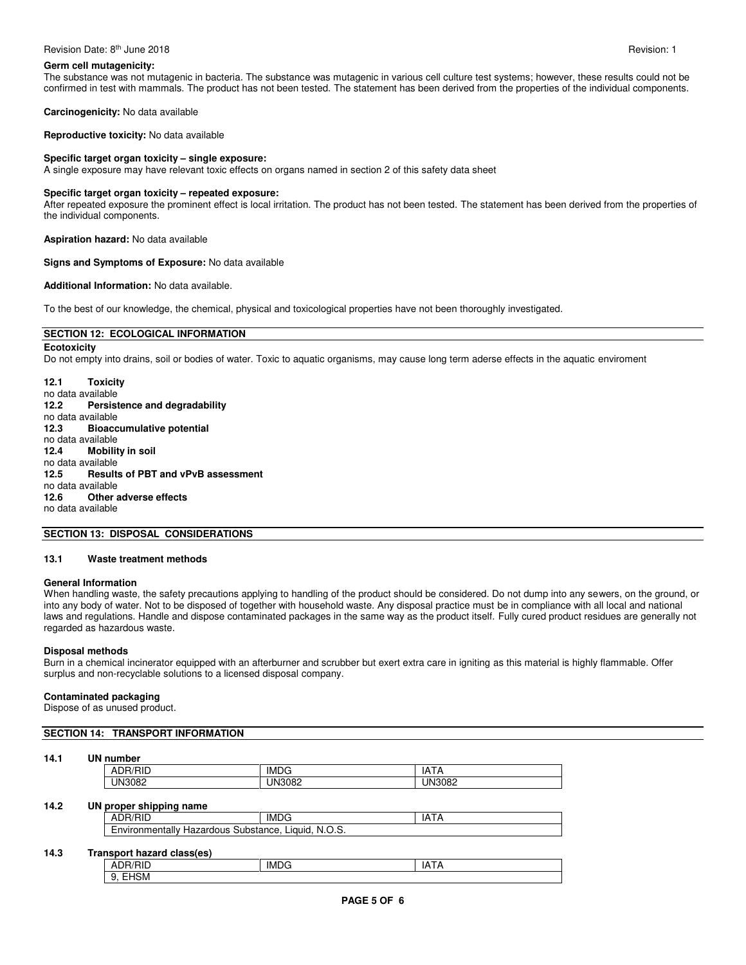#### Revision Date: 8<sup>th</sup> June 2018 **Revision: 1** Revision: 1

# **Germ cell mutagenicity:**

The substance was not mutagenic in bacteria. The substance was mutagenic in various cell culture test systems; however, these results could not be confirmed in test with mammals. The product has not been tested. The statement has been derived from the properties of the individual components.

**Carcinogenicity:** No data available

**Reproductive toxicity:** No data available

# **Specific target organ toxicity – single exposure:**

A single exposure may have relevant toxic effects on organs named in section 2 of this safety data sheet

#### **Specific target organ toxicity – repeated exposure:**

After repeated exposure the prominent effect is local irritation. The product has not been tested. The statement has been derived from the properties of the individual components.

**Aspiration hazard:** No data available

#### **Signs and Symptoms of Exposure:** No data available

#### **Additional Information:** No data available.

To the best of our knowledge, the chemical, physical and toxicological properties have not been thoroughly investigated.

# **SECTION 12: ECOLOGICAL INFORMATION**

**Ecotoxicity**  Do not empty into drains, soil or bodies of water. Toxic to aquatic organisms, may cause long term aderse effects in the aquatic enviroment

**12.1 Toxicity**  no data available<br>12.2 Persist **12.2 Persistence and degradability**  no data available<br>12.3 **Bioacc 12.3 Bioaccumulative potential**  no data available **12.4 Mobility in soil**  no data available<br>12.5 Result **12.5 Results of PBT and vPvB assessment**  no data available **12.6 Other adverse effects**  no data available

#### **SECTION 13: DISPOSAL CONSIDERATIONS**

#### **13.1 Waste treatment methods**

#### **General Information**

When handling waste, the safety precautions applying to handling of the product should be considered. Do not dump into any sewers, on the ground, or into any body of water. Not to be disposed of together with household waste. Any disposal practice must be in compliance with all local and national laws and regulations. Handle and dispose contaminated packages in the same way as the product itself. Fully cured product residues are generally not regarded as hazardous waste.

### **Disposal methods**

Burn in a chemical incinerator equipped with an afterburner and scrubber but exert extra care in igniting as this material is highly flammable. Offer surplus and non-recyclable solutions to a licensed disposal company.

#### **Contaminated packaging**

Dispose of as unused product.

#### **SECTION 14: TRANSPORT INFORMATION**

#### **14.1 UN number**

| - - -<br>∼<br>. | -<br>IML.<br>$\mathbf{H}$ | IΔ<br>חור<br>ır |
|-----------------|---------------------------|-----------------|
| ے ں،            | IN                        | IN              |

#### **14.2 UN proper shipping name**

| <b>ADR/RID</b>                                                    | IMDG | IA I / |  |  |
|-------------------------------------------------------------------|------|--------|--|--|
| N.O.S.<br>Environmentally<br>Liauid.<br>Substance.<br>∵ Hazardous |      |        |  |  |
|                                                                   |      |        |  |  |

# **14.3 Transport hazard class(es)**

| $\overline{\phantom{a}}$<br>∵ ר∪.<br>-<br>บเ<br>v | <b>IMDG</b> | .<br>A<br>. . |
|---------------------------------------------------|-------------|---------------|
| $\sim$ $\sim$ $\sim$<br>15M<br>−<br>J.<br>.       |             |               |